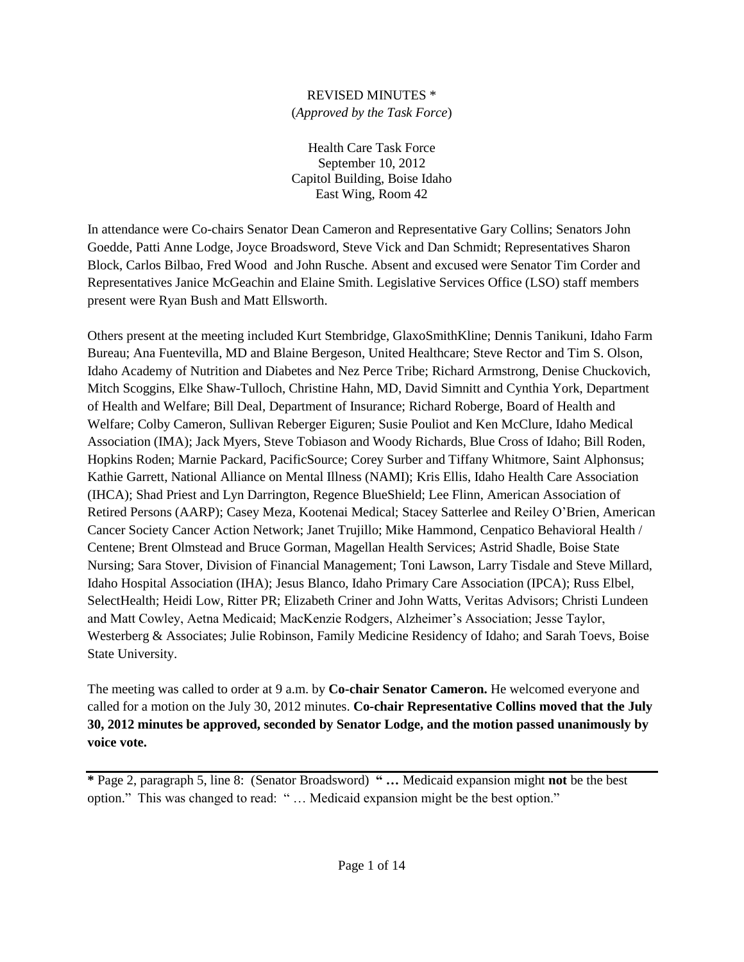## REVISED MINUTES \*

## (*Approved by the Task Force*)

Health Care Task Force September 10, 2012 Capitol Building, Boise Idaho East Wing, Room 42

In attendance were Co-chairs Senator Dean Cameron and Representative Gary Collins; Senators John Goedde, Patti Anne Lodge, Joyce Broadsword, Steve Vick and Dan Schmidt; Representatives Sharon Block, Carlos Bilbao, Fred Wood and John Rusche. Absent and excused were Senator Tim Corder and Representatives Janice McGeachin and Elaine Smith. Legislative Services Office (LSO) staff members present were Ryan Bush and Matt Ellsworth.

Others present at the meeting included Kurt Stembridge, GlaxoSmithKline; Dennis Tanikuni, Idaho Farm Bureau; Ana Fuentevilla, MD and Blaine Bergeson, United Healthcare; Steve Rector and Tim S. Olson, Idaho Academy of Nutrition and Diabetes and Nez Perce Tribe; Richard Armstrong, Denise Chuckovich, Mitch Scoggins, Elke Shaw-Tulloch, Christine Hahn, MD, David Simnitt and Cynthia York, Department of Health and Welfare; Bill Deal, Department of Insurance; Richard Roberge, Board of Health and Welfare; Colby Cameron, Sullivan Reberger Eiguren; Susie Pouliot and Ken McClure, Idaho Medical Association (IMA); Jack Myers, Steve Tobiason and Woody Richards, Blue Cross of Idaho; Bill Roden, Hopkins Roden; Marnie Packard, PacificSource; Corey Surber and Tiffany Whitmore, Saint Alphonsus; Kathie Garrett, National Alliance on Mental Illness (NAMI); Kris Ellis, Idaho Health Care Association (IHCA); Shad Priest and Lyn Darrington, Regence BlueShield; Lee Flinn, American Association of Retired Persons (AARP); Casey Meza, Kootenai Medical; Stacey Satterlee and Reiley O'Brien, American Cancer Society Cancer Action Network; Janet Trujillo; Mike Hammond, Cenpatico Behavioral Health / Centene; Brent Olmstead and Bruce Gorman, Magellan Health Services; Astrid Shadle, Boise State Nursing; Sara Stover, Division of Financial Management; Toni Lawson, Larry Tisdale and Steve Millard, Idaho Hospital Association (IHA); Jesus Blanco, Idaho Primary Care Association (IPCA); Russ Elbel, SelectHealth; Heidi Low, Ritter PR; Elizabeth Criner and John Watts, Veritas Advisors; Christi Lundeen and Matt Cowley, Aetna Medicaid; MacKenzie Rodgers, Alzheimer's Association; Jesse Taylor, Westerberg & Associates; Julie Robinson, Family Medicine Residency of Idaho; and Sarah Toevs, Boise State University.

The meeting was called to order at 9 a.m. by **Co-chair Senator Cameron.** He welcomed everyone and called for a motion on the July 30, 2012 minutes. **Co-chair Representative Collins moved that the July 30, 2012 minutes be approved, seconded by Senator Lodge, and the motion passed unanimously by voice vote.**

**\*** Page 2, paragraph 5, line 8: (Senator Broadsword) **" …** Medicaid expansion might **not** be the best option." This was changed to read: " … Medicaid expansion might be the best option."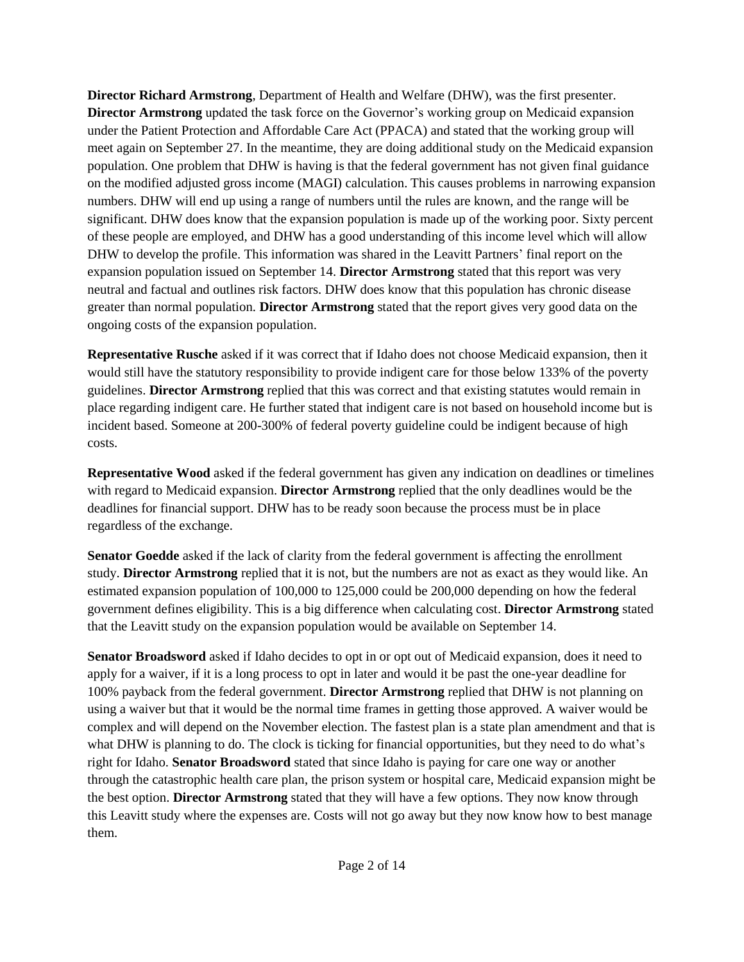**Director Richard Armstrong**, Department of Health and Welfare (DHW), was the first presenter. **Director Armstrong** updated the task force on the Governor's working group on Medicaid expansion under the Patient Protection and Affordable Care Act (PPACA) and stated that the working group will meet again on September 27. In the meantime, they are doing additional study on the Medicaid expansion population. One problem that DHW is having is that the federal government has not given final guidance on the modified adjusted gross income (MAGI) calculation. This causes problems in narrowing expansion numbers. DHW will end up using a range of numbers until the rules are known, and the range will be significant. DHW does know that the expansion population is made up of the working poor. Sixty percent of these people are employed, and DHW has a good understanding of this income level which will allow DHW to develop the profile. This information was shared in the Leavitt Partners' final report on the expansion population issued on September 14. **Director Armstrong** stated that this report was very neutral and factual and outlines risk factors. DHW does know that this population has chronic disease greater than normal population. **Director Armstrong** stated that the report gives very good data on the ongoing costs of the expansion population.

**Representative Rusche** asked if it was correct that if Idaho does not choose Medicaid expansion, then it would still have the statutory responsibility to provide indigent care for those below 133% of the poverty guidelines. **Director Armstrong** replied that this was correct and that existing statutes would remain in place regarding indigent care. He further stated that indigent care is not based on household income but is incident based. Someone at 200-300% of federal poverty guideline could be indigent because of high costs.

**Representative Wood** asked if the federal government has given any indication on deadlines or timelines with regard to Medicaid expansion. **Director Armstrong** replied that the only deadlines would be the deadlines for financial support. DHW has to be ready soon because the process must be in place regardless of the exchange.

**Senator Goedde** asked if the lack of clarity from the federal government is affecting the enrollment study. **Director Armstrong** replied that it is not, but the numbers are not as exact as they would like. An estimated expansion population of 100,000 to 125,000 could be 200,000 depending on how the federal government defines eligibility. This is a big difference when calculating cost. **Director Armstrong** stated that the Leavitt study on the expansion population would be available on September 14.

**Senator Broadsword** asked if Idaho decides to opt in or opt out of Medicaid expansion, does it need to apply for a waiver, if it is a long process to opt in later and would it be past the one-year deadline for 100% payback from the federal government. **Director Armstrong** replied that DHW is not planning on using a waiver but that it would be the normal time frames in getting those approved. A waiver would be complex and will depend on the November election. The fastest plan is a state plan amendment and that is what DHW is planning to do. The clock is ticking for financial opportunities, but they need to do what's right for Idaho. **Senator Broadsword** stated that since Idaho is paying for care one way or another through the catastrophic health care plan, the prison system or hospital care, Medicaid expansion might be the best option. **Director Armstrong** stated that they will have a few options. They now know through this Leavitt study where the expenses are. Costs will not go away but they now know how to best manage them.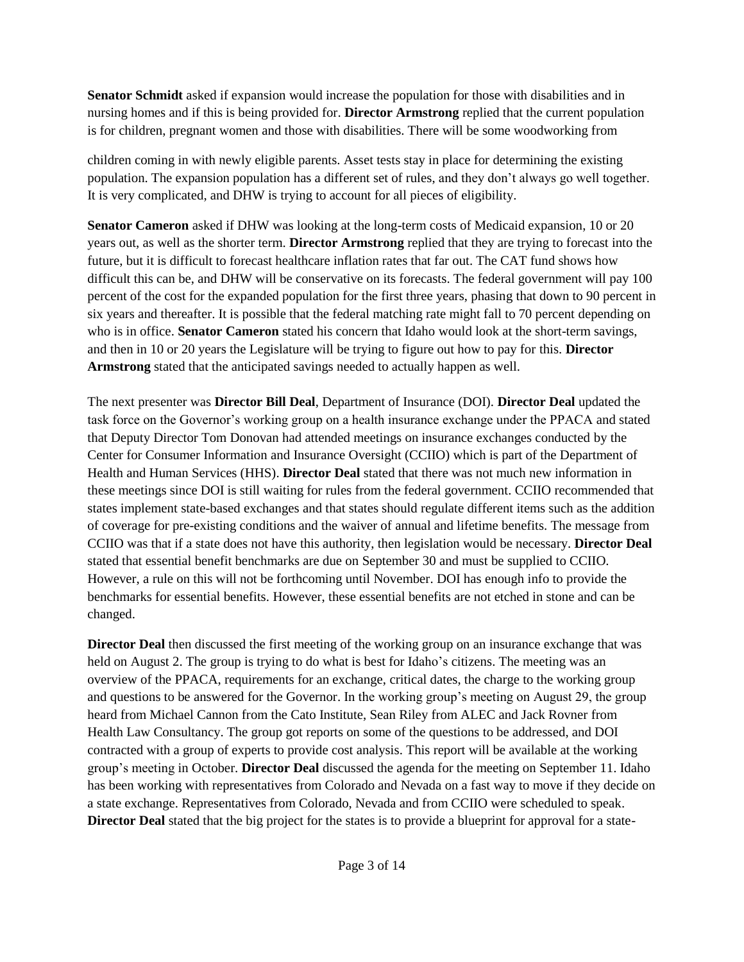**Senator Schmidt** asked if expansion would increase the population for those with disabilities and in nursing homes and if this is being provided for. **Director Armstrong** replied that the current population is for children, pregnant women and those with disabilities. There will be some woodworking from

children coming in with newly eligible parents. Asset tests stay in place for determining the existing population. The expansion population has a different set of rules, and they don't always go well together. It is very complicated, and DHW is trying to account for all pieces of eligibility.

**Senator Cameron** asked if DHW was looking at the long-term costs of Medicaid expansion, 10 or 20 years out, as well as the shorter term. **Director Armstrong** replied that they are trying to forecast into the future, but it is difficult to forecast healthcare inflation rates that far out. The CAT fund shows how difficult this can be, and DHW will be conservative on its forecasts. The federal government will pay 100 percent of the cost for the expanded population for the first three years, phasing that down to 90 percent in six years and thereafter. It is possible that the federal matching rate might fall to 70 percent depending on who is in office. **Senator Cameron** stated his concern that Idaho would look at the short-term savings, and then in 10 or 20 years the Legislature will be trying to figure out how to pay for this. **Director Armstrong** stated that the anticipated savings needed to actually happen as well.

The next presenter was **Director Bill Deal**, Department of Insurance (DOI). **Director Deal** updated the task force on the Governor's working group on a health insurance exchange under the PPACA and stated that Deputy Director Tom Donovan had attended meetings on insurance exchanges conducted by the Center for Consumer Information and Insurance Oversight (CCIIO) which is part of the Department of Health and Human Services (HHS). **Director Deal** stated that there was not much new information in these meetings since DOI is still waiting for rules from the federal government. CCIIO recommended that states implement state-based exchanges and that states should regulate different items such as the addition of coverage for pre-existing conditions and the waiver of annual and lifetime benefits. The message from CCIIO was that if a state does not have this authority, then legislation would be necessary. **Director Deal** stated that essential benefit benchmarks are due on September 30 and must be supplied to CCIIO. However, a rule on this will not be forthcoming until November. DOI has enough info to provide the benchmarks for essential benefits. However, these essential benefits are not etched in stone and can be changed.

**Director Deal** then discussed the first meeting of the working group on an insurance exchange that was held on August 2. The group is trying to do what is best for Idaho's citizens. The meeting was an overview of the PPACA, requirements for an exchange, critical dates, the charge to the working group and questions to be answered for the Governor. In the working group's meeting on August 29, the group heard from Michael Cannon from the Cato Institute, Sean Riley from ALEC and Jack Rovner from Health Law Consultancy. The group got reports on some of the questions to be addressed, and DOI contracted with a group of experts to provide cost analysis. This report will be available at the working group's meeting in October. **Director Deal** discussed the agenda for the meeting on September 11. Idaho has been working with representatives from Colorado and Nevada on a fast way to move if they decide on a state exchange. Representatives from Colorado, Nevada and from CCIIO were scheduled to speak. **Director Deal** stated that the big project for the states is to provide a blueprint for approval for a state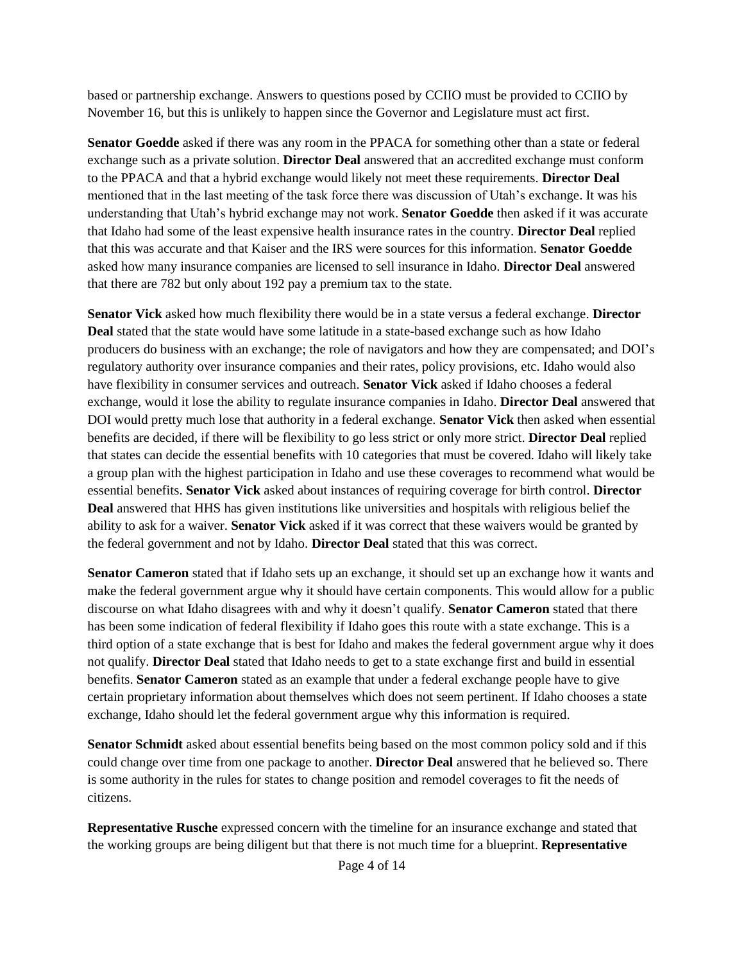based or partnership exchange. Answers to questions posed by CCIIO must be provided to CCIIO by November 16, but this is unlikely to happen since the Governor and Legislature must act first.

**Senator Goedde** asked if there was any room in the PPACA for something other than a state or federal exchange such as a private solution. **Director Deal** answered that an accredited exchange must conform to the PPACA and that a hybrid exchange would likely not meet these requirements. **Director Deal** mentioned that in the last meeting of the task force there was discussion of Utah's exchange. It was his understanding that Utah's hybrid exchange may not work. **Senator Goedde** then asked if it was accurate that Idaho had some of the least expensive health insurance rates in the country. **Director Deal** replied that this was accurate and that Kaiser and the IRS were sources for this information. **Senator Goedde** asked how many insurance companies are licensed to sell insurance in Idaho. **Director Deal** answered that there are 782 but only about 192 pay a premium tax to the state.

**Senator Vick** asked how much flexibility there would be in a state versus a federal exchange. **Director Deal** stated that the state would have some latitude in a state-based exchange such as how Idaho producers do business with an exchange; the role of navigators and how they are compensated; and DOI's regulatory authority over insurance companies and their rates, policy provisions, etc. Idaho would also have flexibility in consumer services and outreach. **Senator Vick** asked if Idaho chooses a federal exchange, would it lose the ability to regulate insurance companies in Idaho. **Director Deal** answered that DOI would pretty much lose that authority in a federal exchange. **Senator Vick** then asked when essential benefits are decided, if there will be flexibility to go less strict or only more strict. **Director Deal** replied that states can decide the essential benefits with 10 categories that must be covered. Idaho will likely take a group plan with the highest participation in Idaho and use these coverages to recommend what would be essential benefits. **Senator Vick** asked about instances of requiring coverage for birth control. **Director Deal** answered that HHS has given institutions like universities and hospitals with religious belief the ability to ask for a waiver. **Senator Vick** asked if it was correct that these waivers would be granted by the federal government and not by Idaho. **Director Deal** stated that this was correct.

**Senator Cameron** stated that if Idaho sets up an exchange, it should set up an exchange how it wants and make the federal government argue why it should have certain components. This would allow for a public discourse on what Idaho disagrees with and why it doesn't qualify. **Senator Cameron** stated that there has been some indication of federal flexibility if Idaho goes this route with a state exchange. This is a third option of a state exchange that is best for Idaho and makes the federal government argue why it does not qualify. **Director Deal** stated that Idaho needs to get to a state exchange first and build in essential benefits. **Senator Cameron** stated as an example that under a federal exchange people have to give certain proprietary information about themselves which does not seem pertinent. If Idaho chooses a state exchange, Idaho should let the federal government argue why this information is required.

**Senator Schmidt** asked about essential benefits being based on the most common policy sold and if this could change over time from one package to another. **Director Deal** answered that he believed so. There is some authority in the rules for states to change position and remodel coverages to fit the needs of citizens.

**Representative Rusche** expressed concern with the timeline for an insurance exchange and stated that the working groups are being diligent but that there is not much time for a blueprint. **Representative**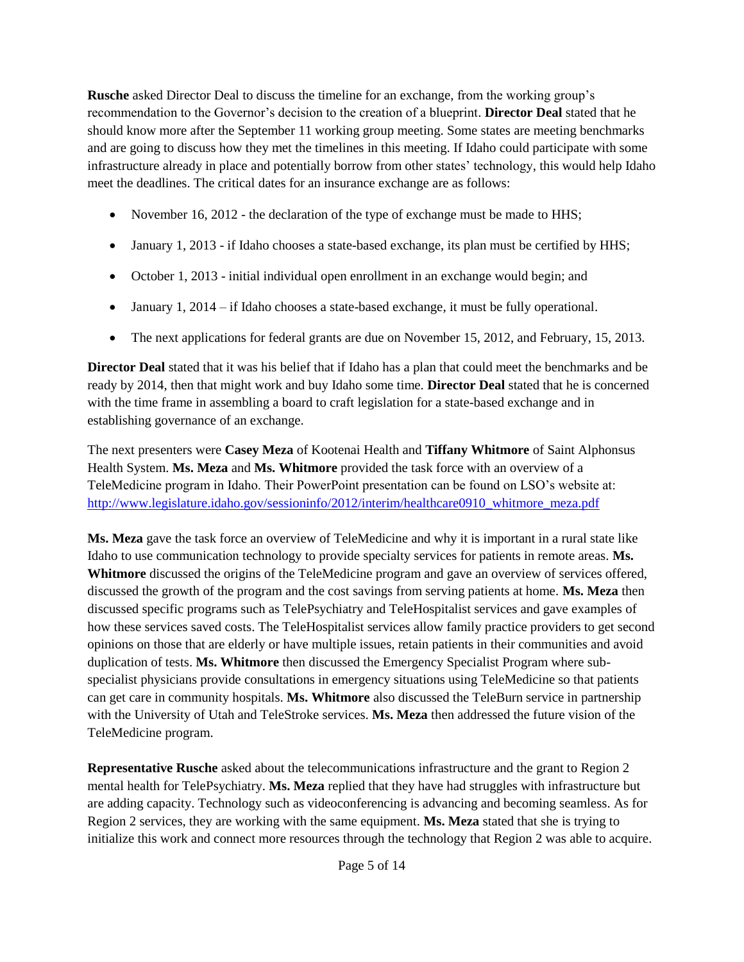**Rusche** asked Director Deal to discuss the timeline for an exchange, from the working group's recommendation to the Governor's decision to the creation of a blueprint. **Director Deal** stated that he should know more after the September 11 working group meeting. Some states are meeting benchmarks and are going to discuss how they met the timelines in this meeting. If Idaho could participate with some infrastructure already in place and potentially borrow from other states' technology, this would help Idaho meet the deadlines. The critical dates for an insurance exchange are as follows:

- November 16, 2012 the declaration of the type of exchange must be made to HHS;
- January 1, 2013 if Idaho chooses a state-based exchange, its plan must be certified by HHS;
- October 1, 2013 initial individual open enrollment in an exchange would begin; and
- January 1,  $2014 if$  Idaho chooses a state-based exchange, it must be fully operational.
- The next applications for federal grants are due on November 15, 2012, and February, 15, 2013.

**Director Deal** stated that it was his belief that if Idaho has a plan that could meet the benchmarks and be ready by 2014, then that might work and buy Idaho some time. **Director Deal** stated that he is concerned with the time frame in assembling a board to craft legislation for a state-based exchange and in establishing governance of an exchange.

The next presenters were **Casey Meza** of Kootenai Health and **Tiffany Whitmore** of Saint Alphonsus Health System. **Ms. Meza** and **Ms. Whitmore** provided the task force with an overview of a TeleMedicine program in Idaho. Their PowerPoint presentation can be found on LSO's website at: [http://www.legislature.idaho.gov/sessioninfo/2012/interim/healthcare0910\\_whitmore\\_meza.pdf](http://www.legislature.idaho.gov/sessioninfo/2012/interim/healthcare0910_whitmore_meza.pdf)

**Ms. Meza** gave the task force an overview of TeleMedicine and why it is important in a rural state like Idaho to use communication technology to provide specialty services for patients in remote areas. **Ms. Whitmore** discussed the origins of the TeleMedicine program and gave an overview of services offered, discussed the growth of the program and the cost savings from serving patients at home. **Ms. Meza** then discussed specific programs such as TelePsychiatry and TeleHospitalist services and gave examples of how these services saved costs. The TeleHospitalist services allow family practice providers to get second opinions on those that are elderly or have multiple issues, retain patients in their communities and avoid duplication of tests. **Ms. Whitmore** then discussed the Emergency Specialist Program where subspecialist physicians provide consultations in emergency situations using TeleMedicine so that patients can get care in community hospitals. **Ms. Whitmore** also discussed the TeleBurn service in partnership with the University of Utah and TeleStroke services. **Ms. Meza** then addressed the future vision of the TeleMedicine program.

**Representative Rusche** asked about the telecommunications infrastructure and the grant to Region 2 mental health for TelePsychiatry. **Ms. Meza** replied that they have had struggles with infrastructure but are adding capacity. Technology such as videoconferencing is advancing and becoming seamless. As for Region 2 services, they are working with the same equipment. **Ms. Meza** stated that she is trying to initialize this work and connect more resources through the technology that Region 2 was able to acquire.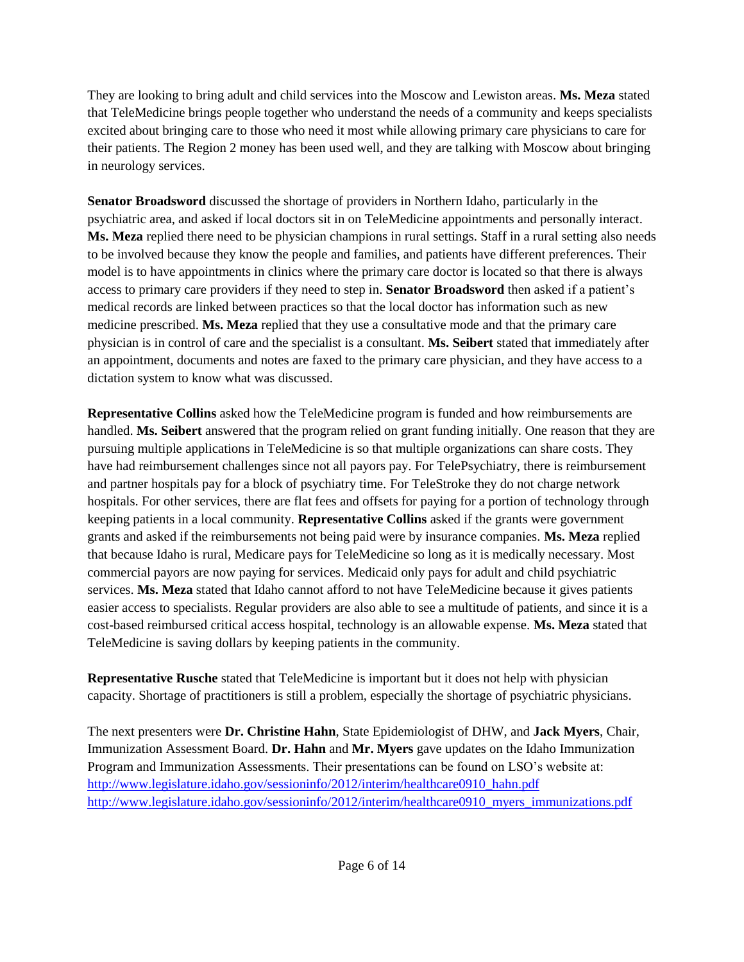They are looking to bring adult and child services into the Moscow and Lewiston areas. **Ms. Meza** stated that TeleMedicine brings people together who understand the needs of a community and keeps specialists excited about bringing care to those who need it most while allowing primary care physicians to care for their patients. The Region 2 money has been used well, and they are talking with Moscow about bringing in neurology services.

**Senator Broadsword** discussed the shortage of providers in Northern Idaho, particularly in the psychiatric area, and asked if local doctors sit in on TeleMedicine appointments and personally interact. **Ms. Meza** replied there need to be physician champions in rural settings. Staff in a rural setting also needs to be involved because they know the people and families, and patients have different preferences. Their model is to have appointments in clinics where the primary care doctor is located so that there is always access to primary care providers if they need to step in. **Senator Broadsword** then asked if a patient's medical records are linked between practices so that the local doctor has information such as new medicine prescribed. **Ms. Meza** replied that they use a consultative mode and that the primary care physician is in control of care and the specialist is a consultant. **Ms. Seibert** stated that immediately after an appointment, documents and notes are faxed to the primary care physician, and they have access to a dictation system to know what was discussed.

**Representative Collins** asked how the TeleMedicine program is funded and how reimbursements are handled. **Ms. Seibert** answered that the program relied on grant funding initially. One reason that they are pursuing multiple applications in TeleMedicine is so that multiple organizations can share costs. They have had reimbursement challenges since not all payors pay. For TelePsychiatry, there is reimbursement and partner hospitals pay for a block of psychiatry time. For TeleStroke they do not charge network hospitals. For other services, there are flat fees and offsets for paying for a portion of technology through keeping patients in a local community. **Representative Collins** asked if the grants were government grants and asked if the reimbursements not being paid were by insurance companies. **Ms. Meza** replied that because Idaho is rural, Medicare pays for TeleMedicine so long as it is medically necessary. Most commercial payors are now paying for services. Medicaid only pays for adult and child psychiatric services. **Ms. Meza** stated that Idaho cannot afford to not have TeleMedicine because it gives patients easier access to specialists. Regular providers are also able to see a multitude of patients, and since it is a cost-based reimbursed critical access hospital, technology is an allowable expense. **Ms. Meza** stated that TeleMedicine is saving dollars by keeping patients in the community.

**Representative Rusche** stated that TeleMedicine is important but it does not help with physician capacity. Shortage of practitioners is still a problem, especially the shortage of psychiatric physicians.

The next presenters were **Dr. Christine Hahn**, State Epidemiologist of DHW, and **Jack Myers**, Chair, Immunization Assessment Board. **Dr. Hahn** and **Mr. Myers** gave updates on the Idaho Immunization Program and Immunization Assessments. Their presentations can be found on LSO's website at: [http://www.legislature.idaho.gov/sessioninfo/2012/interim/healthcare0910\\_hahn.pdf](http://www.legislature.idaho.gov/sessioninfo/2012/interim/healthcare0910_hahn.pdf) [http://www.legislature.idaho.gov/sessioninfo/2012/interim/healthcare0910\\_myers\\_immunizations.pdf](http://www.legislature.idaho.gov/sessioninfo/2012/interim/healthcare0910_myers_immunizations.pdf)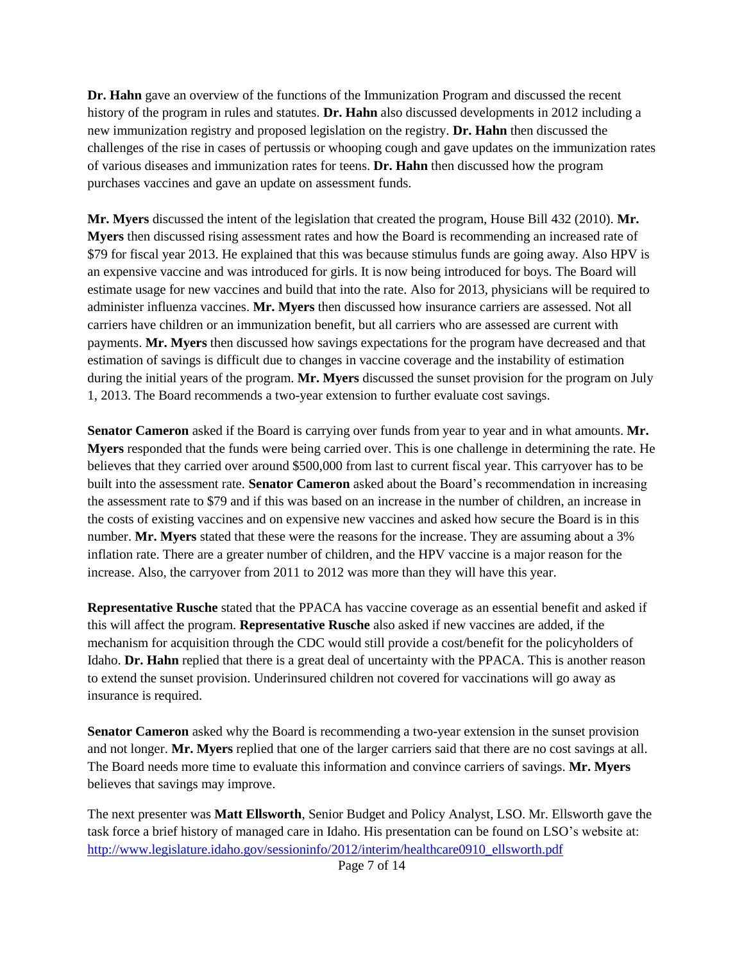**Dr. Hahn** gave an overview of the functions of the Immunization Program and discussed the recent history of the program in rules and statutes. **Dr. Hahn** also discussed developments in 2012 including a new immunization registry and proposed legislation on the registry. **Dr. Hahn** then discussed the challenges of the rise in cases of pertussis or whooping cough and gave updates on the immunization rates of various diseases and immunization rates for teens. **Dr. Hahn** then discussed how the program purchases vaccines and gave an update on assessment funds.

**Mr. Myers** discussed the intent of the legislation that created the program, House Bill 432 (2010). **Mr. Myers** then discussed rising assessment rates and how the Board is recommending an increased rate of \$79 for fiscal year 2013. He explained that this was because stimulus funds are going away. Also HPV is an expensive vaccine and was introduced for girls. It is now being introduced for boys. The Board will estimate usage for new vaccines and build that into the rate. Also for 2013, physicians will be required to administer influenza vaccines. **Mr. Myers** then discussed how insurance carriers are assessed. Not all carriers have children or an immunization benefit, but all carriers who are assessed are current with payments. **Mr. Myers** then discussed how savings expectations for the program have decreased and that estimation of savings is difficult due to changes in vaccine coverage and the instability of estimation during the initial years of the program. **Mr. Myers** discussed the sunset provision for the program on July 1, 2013. The Board recommends a two-year extension to further evaluate cost savings.

**Senator Cameron** asked if the Board is carrying over funds from year to year and in what amounts. **Mr. Myers** responded that the funds were being carried over. This is one challenge in determining the rate. He believes that they carried over around \$500,000 from last to current fiscal year. This carryover has to be built into the assessment rate. **Senator Cameron** asked about the Board's recommendation in increasing the assessment rate to \$79 and if this was based on an increase in the number of children, an increase in the costs of existing vaccines and on expensive new vaccines and asked how secure the Board is in this number. **Mr. Myers** stated that these were the reasons for the increase. They are assuming about a 3% inflation rate. There are a greater number of children, and the HPV vaccine is a major reason for the increase. Also, the carryover from 2011 to 2012 was more than they will have this year.

**Representative Rusche** stated that the PPACA has vaccine coverage as an essential benefit and asked if this will affect the program. **Representative Rusche** also asked if new vaccines are added, if the mechanism for acquisition through the CDC would still provide a cost/benefit for the policyholders of Idaho. **Dr. Hahn** replied that there is a great deal of uncertainty with the PPACA. This is another reason to extend the sunset provision. Underinsured children not covered for vaccinations will go away as insurance is required.

**Senator Cameron** asked why the Board is recommending a two-year extension in the sunset provision and not longer. **Mr. Myers** replied that one of the larger carriers said that there are no cost savings at all. The Board needs more time to evaluate this information and convince carriers of savings. **Mr. Myers** believes that savings may improve.

The next presenter was **Matt Ellsworth**, Senior Budget and Policy Analyst, LSO. Mr. Ellsworth gave the task force a brief history of managed care in Idaho. His presentation can be found on LSO's website at: [http://www.legislature.idaho.gov/sessioninfo/2012/interim/healthcare0910\\_ellsworth.pdf](http://www.legislature.idaho.gov/sessioninfo/2012/interim/healthcare0910_ellsworth.pdf)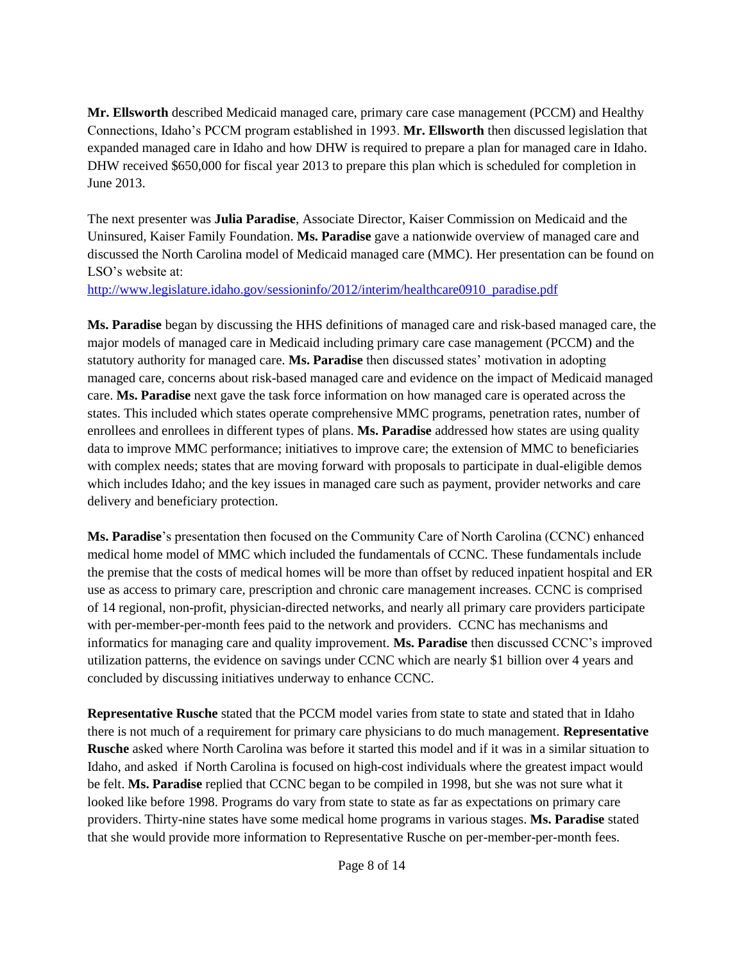**Mr. Ellsworth** described Medicaid managed care, primary care case management (PCCM) and Healthy Connections, Idaho's PCCM program established in 1993. **Mr. Ellsworth** then discussed legislation that expanded managed care in Idaho and how DHW is required to prepare a plan for managed care in Idaho. DHW received \$650,000 for fiscal year 2013 to prepare this plan which is scheduled for completion in June 2013.

The next presenter was **Julia Paradise**, Associate Director, Kaiser Commission on Medicaid and the Uninsured, Kaiser Family Foundation. **Ms. Paradise** gave a nationwide overview of managed care and discussed the North Carolina model of Medicaid managed care (MMC). Her presentation can be found on LSO's website at:

[http://www.legislature.idaho.gov/sessioninfo/2012/interim/healthcare0910\\_paradise.pdf](http://www.legislature.idaho.gov/sessioninfo/2012/interim/healthcare0910_paradise.pdf)

**Ms. Paradise** began by discussing the HHS definitions of managed care and risk-based managed care, the major models of managed care in Medicaid including primary care case management (PCCM) and the statutory authority for managed care. **Ms. Paradise** then discussed states' motivation in adopting managed care, concerns about risk-based managed care and evidence on the impact of Medicaid managed care. **Ms. Paradise** next gave the task force information on how managed care is operated across the states. This included which states operate comprehensive MMC programs, penetration rates, number of enrollees and enrollees in different types of plans. **Ms. Paradise** addressed how states are using quality data to improve MMC performance; initiatives to improve care; the extension of MMC to beneficiaries with complex needs; states that are moving forward with proposals to participate in dual-eligible demos which includes Idaho; and the key issues in managed care such as payment, provider networks and care delivery and beneficiary protection.

**Ms. Paradise**'s presentation then focused on the Community Care of North Carolina (CCNC) enhanced medical home model of MMC which included the fundamentals of CCNC. These fundamentals include the premise that the costs of medical homes will be more than offset by reduced inpatient hospital and ER use as access to primary care, prescription and chronic care management increases. CCNC is comprised of 14 regional, non-profit, physician-directed networks, and nearly all primary care providers participate with per-member-per-month fees paid to the network and providers. CCNC has mechanisms and informatics for managing care and quality improvement. **Ms. Paradise** then discussed CCNC's improved utilization patterns, the evidence on savings under CCNC which are nearly \$1 billion over 4 years and concluded by discussing initiatives underway to enhance CCNC.

**Representative Rusche** stated that the PCCM model varies from state to state and stated that in Idaho there is not much of a requirement for primary care physicians to do much management. **Representative Rusche** asked where North Carolina was before it started this model and if it was in a similar situation to Idaho, and asked if North Carolina is focused on high-cost individuals where the greatest impact would be felt. **Ms. Paradise** replied that CCNC began to be compiled in 1998, but she was not sure what it looked like before 1998. Programs do vary from state to state as far as expectations on primary care providers. Thirty-nine states have some medical home programs in various stages. **Ms. Paradise** stated that she would provide more information to Representative Rusche on per-member-per-month fees.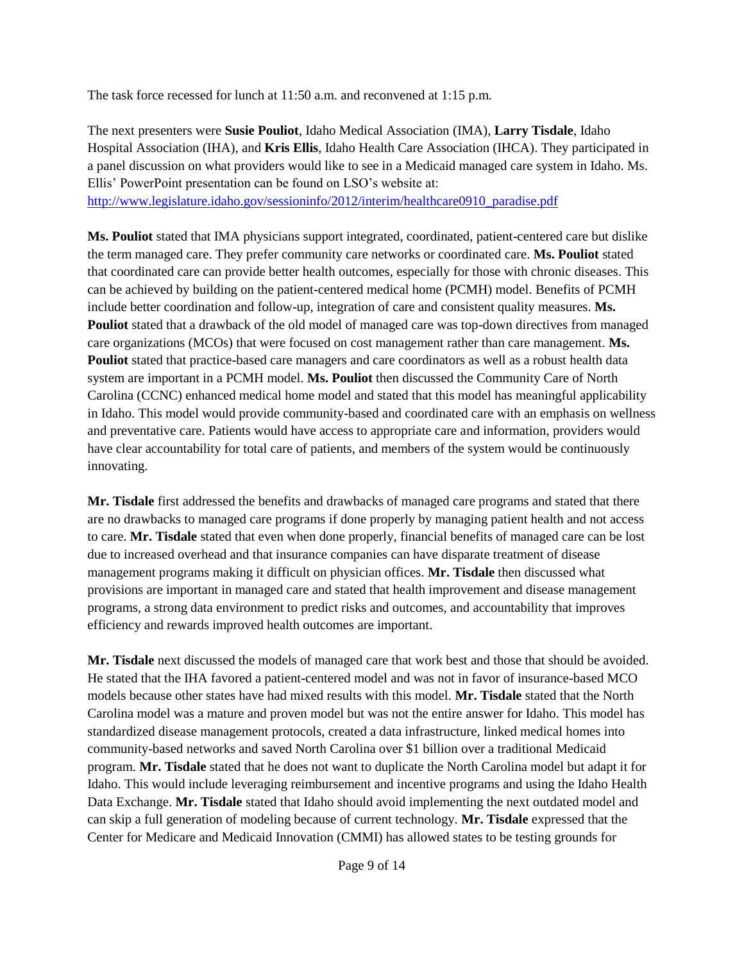The task force recessed for lunch at 11:50 a.m. and reconvened at 1:15 p.m.

The next presenters were **Susie Pouliot**, Idaho Medical Association (IMA), **Larry Tisdale**, Idaho Hospital Association (IHA), and **Kris Ellis**, Idaho Health Care Association (IHCA). They participated in a panel discussion on what providers would like to see in a Medicaid managed care system in Idaho. Ms. Ellis' PowerPoint presentation can be found on LSO's website at: [http://www.legislature.idaho.gov/sessioninfo/2012/interim/healthcare0910\\_paradise.pdf](http://www.legislature.idaho.gov/sessioninfo/2012/interim/healthcare0910_paradise.pdf)

**Ms. Pouliot** stated that IMA physicians support integrated, coordinated, patient-centered care but dislike the term managed care. They prefer community care networks or coordinated care. **Ms. Pouliot** stated that coordinated care can provide better health outcomes, especially for those with chronic diseases. This can be achieved by building on the patient-centered medical home (PCMH) model. Benefits of PCMH include better coordination and follow-up, integration of care and consistent quality measures. **Ms. Pouliot** stated that a drawback of the old model of managed care was top-down directives from managed care organizations (MCOs) that were focused on cost management rather than care management. **Ms. Pouliot** stated that practice-based care managers and care coordinators as well as a robust health data system are important in a PCMH model. **Ms. Pouliot** then discussed the Community Care of North Carolina (CCNC) enhanced medical home model and stated that this model has meaningful applicability in Idaho. This model would provide community-based and coordinated care with an emphasis on wellness and preventative care. Patients would have access to appropriate care and information, providers would have clear accountability for total care of patients, and members of the system would be continuously innovating.

**Mr. Tisdale** first addressed the benefits and drawbacks of managed care programs and stated that there are no drawbacks to managed care programs if done properly by managing patient health and not access to care. **Mr. Tisdale** stated that even when done properly, financial benefits of managed care can be lost due to increased overhead and that insurance companies can have disparate treatment of disease management programs making it difficult on physician offices. **Mr. Tisdale** then discussed what provisions are important in managed care and stated that health improvement and disease management programs, a strong data environment to predict risks and outcomes, and accountability that improves efficiency and rewards improved health outcomes are important.

**Mr. Tisdale** next discussed the models of managed care that work best and those that should be avoided. He stated that the IHA favored a patient-centered model and was not in favor of insurance-based MCO models because other states have had mixed results with this model. **Mr. Tisdale** stated that the North Carolina model was a mature and proven model but was not the entire answer for Idaho. This model has standardized disease management protocols, created a data infrastructure, linked medical homes into community-based networks and saved North Carolina over \$1 billion over a traditional Medicaid program. **Mr. Tisdale** stated that he does not want to duplicate the North Carolina model but adapt it for Idaho. This would include leveraging reimbursement and incentive programs and using the Idaho Health Data Exchange. **Mr. Tisdale** stated that Idaho should avoid implementing the next outdated model and can skip a full generation of modeling because of current technology. **Mr. Tisdale** expressed that the Center for Medicare and Medicaid Innovation (CMMI) has allowed states to be testing grounds for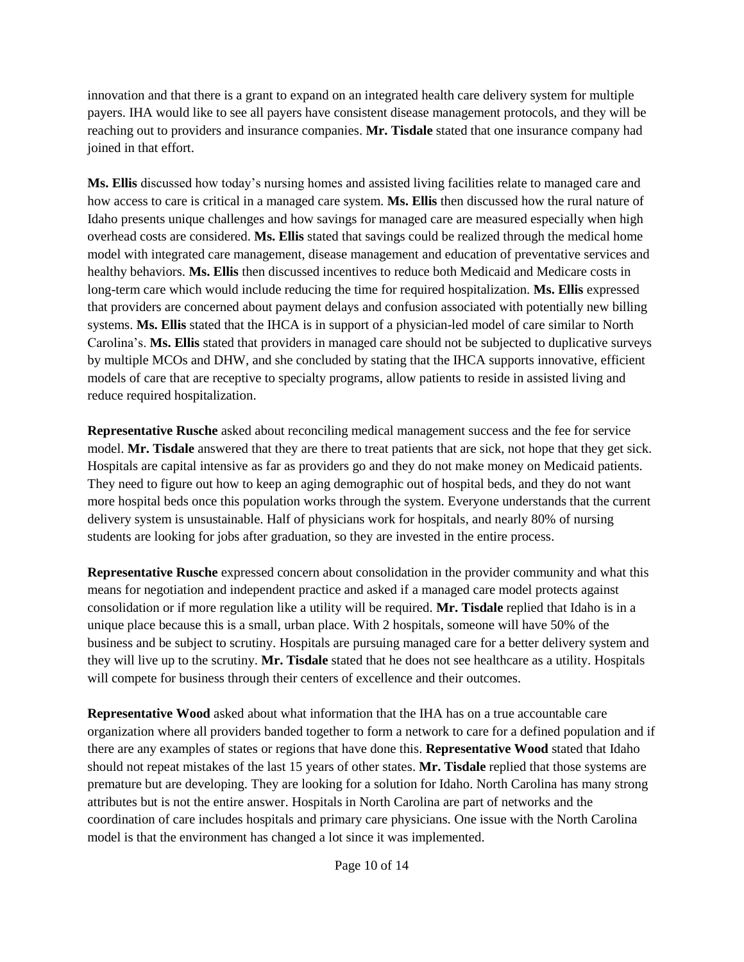innovation and that there is a grant to expand on an integrated health care delivery system for multiple payers. IHA would like to see all payers have consistent disease management protocols, and they will be reaching out to providers and insurance companies. **Mr. Tisdale** stated that one insurance company had joined in that effort.

**Ms. Ellis** discussed how today's nursing homes and assisted living facilities relate to managed care and how access to care is critical in a managed care system. **Ms. Ellis** then discussed how the rural nature of Idaho presents unique challenges and how savings for managed care are measured especially when high overhead costs are considered. **Ms. Ellis** stated that savings could be realized through the medical home model with integrated care management, disease management and education of preventative services and healthy behaviors. **Ms. Ellis** then discussed incentives to reduce both Medicaid and Medicare costs in long-term care which would include reducing the time for required hospitalization. **Ms. Ellis** expressed that providers are concerned about payment delays and confusion associated with potentially new billing systems. **Ms. Ellis** stated that the IHCA is in support of a physician-led model of care similar to North Carolina's. **Ms. Ellis** stated that providers in managed care should not be subjected to duplicative surveys by multiple MCOs and DHW, and she concluded by stating that the IHCA supports innovative, efficient models of care that are receptive to specialty programs, allow patients to reside in assisted living and reduce required hospitalization.

**Representative Rusche** asked about reconciling medical management success and the fee for service model. **Mr. Tisdale** answered that they are there to treat patients that are sick, not hope that they get sick. Hospitals are capital intensive as far as providers go and they do not make money on Medicaid patients. They need to figure out how to keep an aging demographic out of hospital beds, and they do not want more hospital beds once this population works through the system. Everyone understands that the current delivery system is unsustainable. Half of physicians work for hospitals, and nearly 80% of nursing students are looking for jobs after graduation, so they are invested in the entire process.

**Representative Rusche** expressed concern about consolidation in the provider community and what this means for negotiation and independent practice and asked if a managed care model protects against consolidation or if more regulation like a utility will be required. **Mr. Tisdale** replied that Idaho is in a unique place because this is a small, urban place. With 2 hospitals, someone will have 50% of the business and be subject to scrutiny. Hospitals are pursuing managed care for a better delivery system and they will live up to the scrutiny. **Mr. Tisdale** stated that he does not see healthcare as a utility. Hospitals will compete for business through their centers of excellence and their outcomes.

**Representative Wood** asked about what information that the IHA has on a true accountable care organization where all providers banded together to form a network to care for a defined population and if there are any examples of states or regions that have done this. **Representative Wood** stated that Idaho should not repeat mistakes of the last 15 years of other states. **Mr. Tisdale** replied that those systems are premature but are developing. They are looking for a solution for Idaho. North Carolina has many strong attributes but is not the entire answer. Hospitals in North Carolina are part of networks and the coordination of care includes hospitals and primary care physicians. One issue with the North Carolina model is that the environment has changed a lot since it was implemented.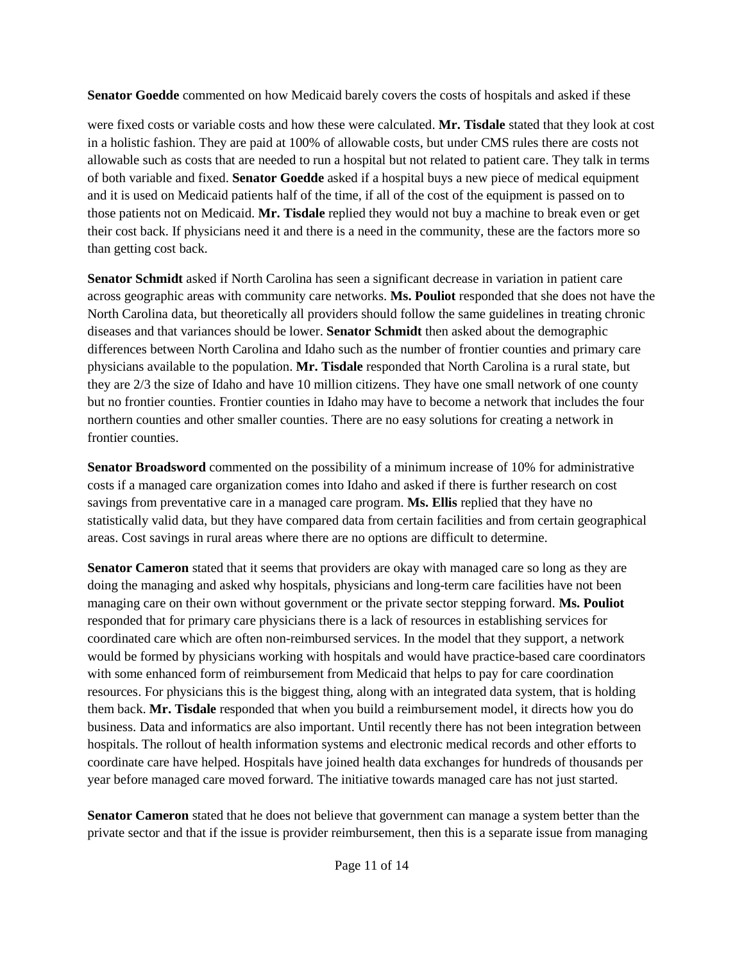**Senator Goedde** commented on how Medicaid barely covers the costs of hospitals and asked if these

were fixed costs or variable costs and how these were calculated. **Mr. Tisdale** stated that they look at cost in a holistic fashion. They are paid at 100% of allowable costs, but under CMS rules there are costs not allowable such as costs that are needed to run a hospital but not related to patient care. They talk in terms of both variable and fixed. **Senator Goedde** asked if a hospital buys a new piece of medical equipment and it is used on Medicaid patients half of the time, if all of the cost of the equipment is passed on to those patients not on Medicaid. **Mr. Tisdale** replied they would not buy a machine to break even or get their cost back. If physicians need it and there is a need in the community, these are the factors more so than getting cost back.

**Senator Schmidt** asked if North Carolina has seen a significant decrease in variation in patient care across geographic areas with community care networks. **Ms. Pouliot** responded that she does not have the North Carolina data, but theoretically all providers should follow the same guidelines in treating chronic diseases and that variances should be lower. **Senator Schmidt** then asked about the demographic differences between North Carolina and Idaho such as the number of frontier counties and primary care physicians available to the population. **Mr. Tisdale** responded that North Carolina is a rural state, but they are 2/3 the size of Idaho and have 10 million citizens. They have one small network of one county but no frontier counties. Frontier counties in Idaho may have to become a network that includes the four northern counties and other smaller counties. There are no easy solutions for creating a network in frontier counties.

**Senator Broadsword** commented on the possibility of a minimum increase of 10% for administrative costs if a managed care organization comes into Idaho and asked if there is further research on cost savings from preventative care in a managed care program. **Ms. Ellis** replied that they have no statistically valid data, but they have compared data from certain facilities and from certain geographical areas. Cost savings in rural areas where there are no options are difficult to determine.

**Senator Cameron** stated that it seems that providers are okay with managed care so long as they are doing the managing and asked why hospitals, physicians and long-term care facilities have not been managing care on their own without government or the private sector stepping forward. **Ms. Pouliot**  responded that for primary care physicians there is a lack of resources in establishing services for coordinated care which are often non-reimbursed services. In the model that they support, a network would be formed by physicians working with hospitals and would have practice-based care coordinators with some enhanced form of reimbursement from Medicaid that helps to pay for care coordination resources. For physicians this is the biggest thing, along with an integrated data system, that is holding them back. **Mr. Tisdale** responded that when you build a reimbursement model, it directs how you do business. Data and informatics are also important. Until recently there has not been integration between hospitals. The rollout of health information systems and electronic medical records and other efforts to coordinate care have helped. Hospitals have joined health data exchanges for hundreds of thousands per year before managed care moved forward. The initiative towards managed care has not just started.

**Senator Cameron** stated that he does not believe that government can manage a system better than the private sector and that if the issue is provider reimbursement, then this is a separate issue from managing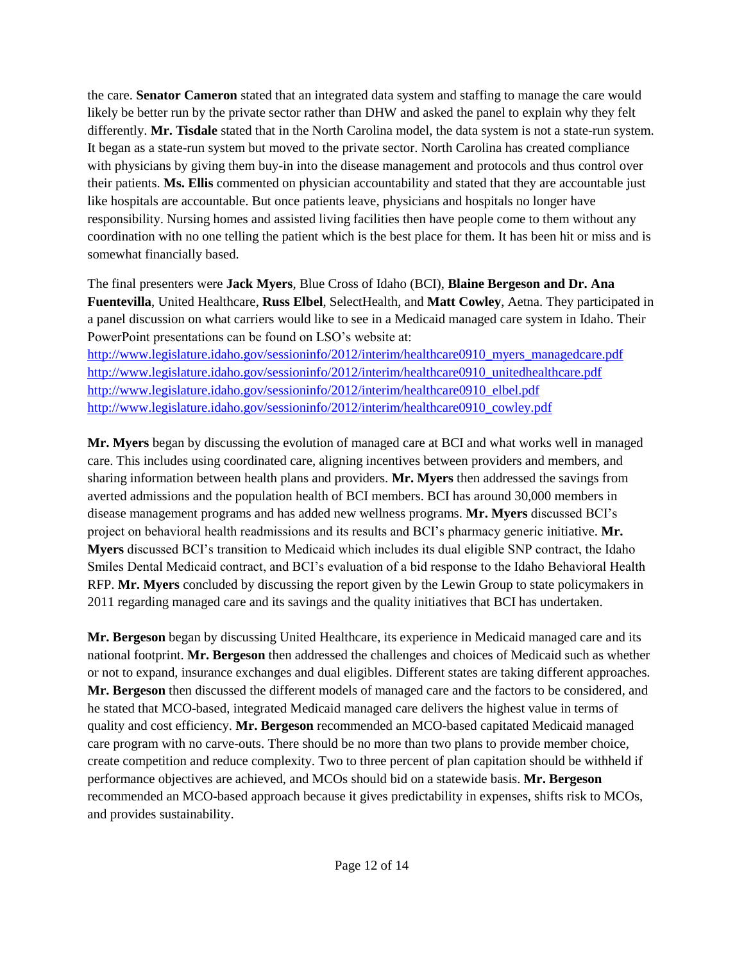the care. **Senator Cameron** stated that an integrated data system and staffing to manage the care would likely be better run by the private sector rather than DHW and asked the panel to explain why they felt differently. **Mr. Tisdale** stated that in the North Carolina model, the data system is not a state-run system. It began as a state-run system but moved to the private sector. North Carolina has created compliance with physicians by giving them buy-in into the disease management and protocols and thus control over their patients. **Ms. Ellis** commented on physician accountability and stated that they are accountable just like hospitals are accountable. But once patients leave, physicians and hospitals no longer have responsibility. Nursing homes and assisted living facilities then have people come to them without any coordination with no one telling the patient which is the best place for them. It has been hit or miss and is somewhat financially based.

The final presenters were **Jack Myers**, Blue Cross of Idaho (BCI), **Blaine Bergeson and Dr. Ana Fuentevilla**, United Healthcare, **Russ Elbel**, SelectHealth, and **Matt Cowley**, Aetna. They participated in a panel discussion on what carriers would like to see in a Medicaid managed care system in Idaho. Their PowerPoint presentations can be found on LSO's website at:

[http://www.legislature.idaho.gov/sessioninfo/2012/interim/healthcare0910\\_myers\\_managedcare.pdf](http://www.legislature.idaho.gov/sessioninfo/2012/interim/healthcare0910_myers_managedcare.pdf) [http://www.legislature.idaho.gov/sessioninfo/2012/interim/healthcare0910\\_unitedhealthcare.pdf](http://www.legislature.idaho.gov/sessioninfo/2012/interim/healthcare0910_unitedhealthcare.pdf) [http://www.legislature.idaho.gov/sessioninfo/2012/interim/healthcare0910\\_elbel.pdf](http://www.legislature.idaho.gov/sessioninfo/2012/interim/healthcare0910_elbel.pdf) [http://www.legislature.idaho.gov/sessioninfo/2012/interim/healthcare0910\\_cowley.pdf](http://www.legislature.idaho.gov/sessioninfo/2012/interim/healthcare0910_cowley.pdf)

**Mr. Myers** began by discussing the evolution of managed care at BCI and what works well in managed care. This includes using coordinated care, aligning incentives between providers and members, and sharing information between health plans and providers. **Mr. Myers** then addressed the savings from averted admissions and the population health of BCI members. BCI has around 30,000 members in disease management programs and has added new wellness programs. **Mr. Myers** discussed BCI's project on behavioral health readmissions and its results and BCI's pharmacy generic initiative. **Mr. Myers** discussed BCI's transition to Medicaid which includes its dual eligible SNP contract, the Idaho Smiles Dental Medicaid contract, and BCI's evaluation of a bid response to the Idaho Behavioral Health RFP. **Mr. Myers** concluded by discussing the report given by the Lewin Group to state policymakers in 2011 regarding managed care and its savings and the quality initiatives that BCI has undertaken.

**Mr. Bergeson** began by discussing United Healthcare, its experience in Medicaid managed care and its national footprint. **Mr. Bergeson** then addressed the challenges and choices of Medicaid such as whether or not to expand, insurance exchanges and dual eligibles. Different states are taking different approaches. **Mr. Bergeson** then discussed the different models of managed care and the factors to be considered, and he stated that MCO-based, integrated Medicaid managed care delivers the highest value in terms of quality and cost efficiency. **Mr. Bergeson** recommended an MCO-based capitated Medicaid managed care program with no carve-outs. There should be no more than two plans to provide member choice, create competition and reduce complexity. Two to three percent of plan capitation should be withheld if performance objectives are achieved, and MCOs should bid on a statewide basis. **Mr. Bergeson** recommended an MCO-based approach because it gives predictability in expenses, shifts risk to MCOs, and provides sustainability.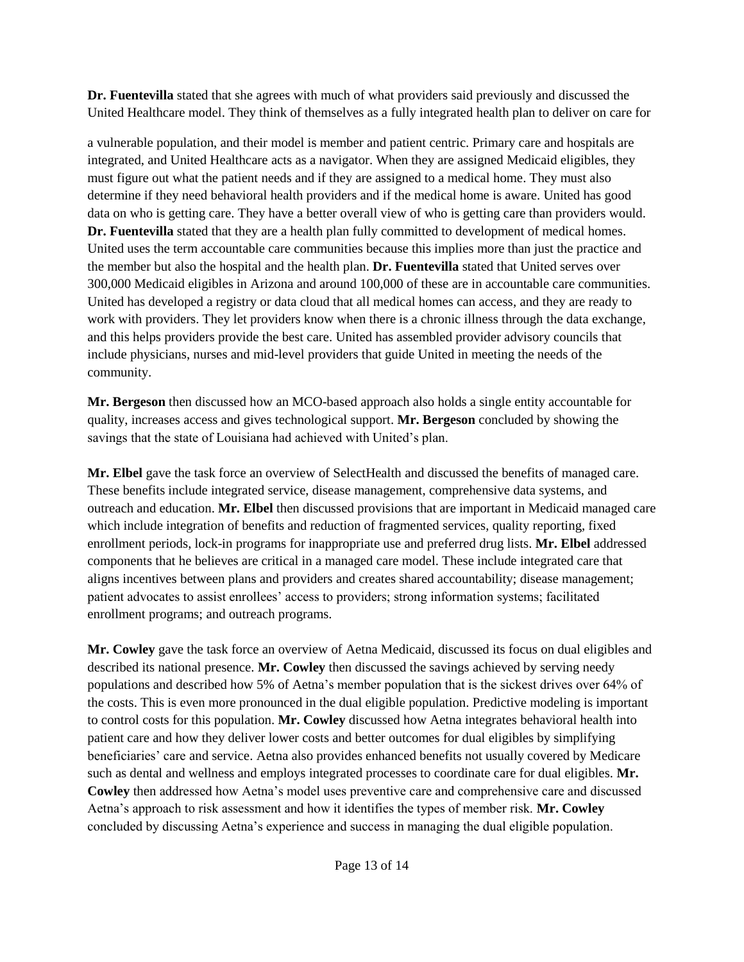**Dr. Fuentevilla** stated that she agrees with much of what providers said previously and discussed the United Healthcare model. They think of themselves as a fully integrated health plan to deliver on care for

a vulnerable population, and their model is member and patient centric. Primary care and hospitals are integrated, and United Healthcare acts as a navigator. When they are assigned Medicaid eligibles, they must figure out what the patient needs and if they are assigned to a medical home. They must also determine if they need behavioral health providers and if the medical home is aware. United has good data on who is getting care. They have a better overall view of who is getting care than providers would. **Dr. Fuentevilla** stated that they are a health plan fully committed to development of medical homes. United uses the term accountable care communities because this implies more than just the practice and the member but also the hospital and the health plan. **Dr. Fuentevilla** stated that United serves over 300,000 Medicaid eligibles in Arizona and around 100,000 of these are in accountable care communities. United has developed a registry or data cloud that all medical homes can access, and they are ready to work with providers. They let providers know when there is a chronic illness through the data exchange, and this helps providers provide the best care. United has assembled provider advisory councils that include physicians, nurses and mid-level providers that guide United in meeting the needs of the community.

**Mr. Bergeson** then discussed how an MCO-based approach also holds a single entity accountable for quality, increases access and gives technological support. **Mr. Bergeson** concluded by showing the savings that the state of Louisiana had achieved with United's plan.

**Mr. Elbel** gave the task force an overview of SelectHealth and discussed the benefits of managed care. These benefits include integrated service, disease management, comprehensive data systems, and outreach and education. **Mr. Elbel** then discussed provisions that are important in Medicaid managed care which include integration of benefits and reduction of fragmented services, quality reporting, fixed enrollment periods, lock-in programs for inappropriate use and preferred drug lists. **Mr. Elbel** addressed components that he believes are critical in a managed care model. These include integrated care that aligns incentives between plans and providers and creates shared accountability; disease management; patient advocates to assist enrollees' access to providers; strong information systems; facilitated enrollment programs; and outreach programs.

**Mr. Cowley** gave the task force an overview of Aetna Medicaid, discussed its focus on dual eligibles and described its national presence. **Mr. Cowley** then discussed the savings achieved by serving needy populations and described how 5% of Aetna's member population that is the sickest drives over 64% of the costs. This is even more pronounced in the dual eligible population. Predictive modeling is important to control costs for this population. **Mr. Cowley** discussed how Aetna integrates behavioral health into patient care and how they deliver lower costs and better outcomes for dual eligibles by simplifying beneficiaries' care and service. Aetna also provides enhanced benefits not usually covered by Medicare such as dental and wellness and employs integrated processes to coordinate care for dual eligibles. **Mr. Cowley** then addressed how Aetna's model uses preventive care and comprehensive care and discussed Aetna's approach to risk assessment and how it identifies the types of member risk. **Mr. Cowley** concluded by discussing Aetna's experience and success in managing the dual eligible population.